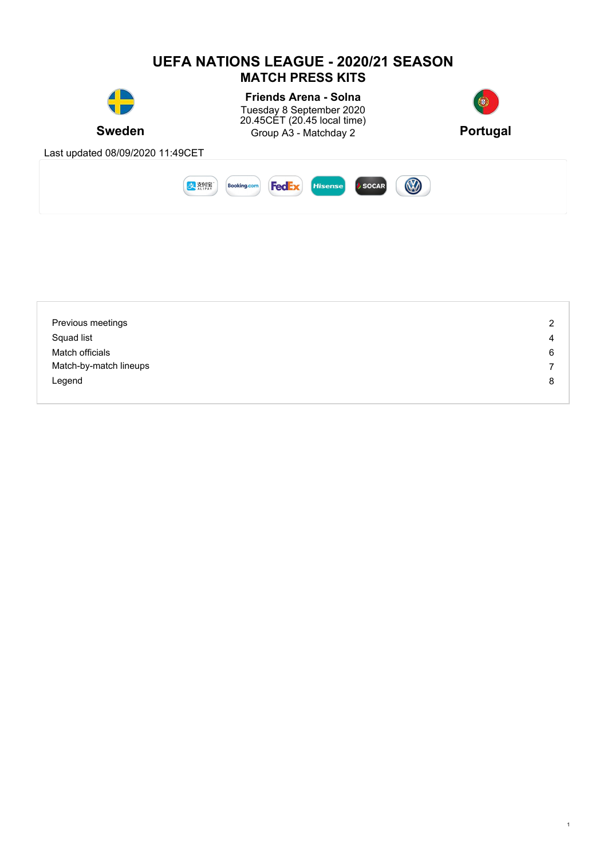

| Previous meetings      | $\overline{2}$ |
|------------------------|----------------|
| Squad list             | 4              |
| Match officials        | 6              |
| Match-by-match lineups | 7              |
| Legend                 | 8              |
|                        |                |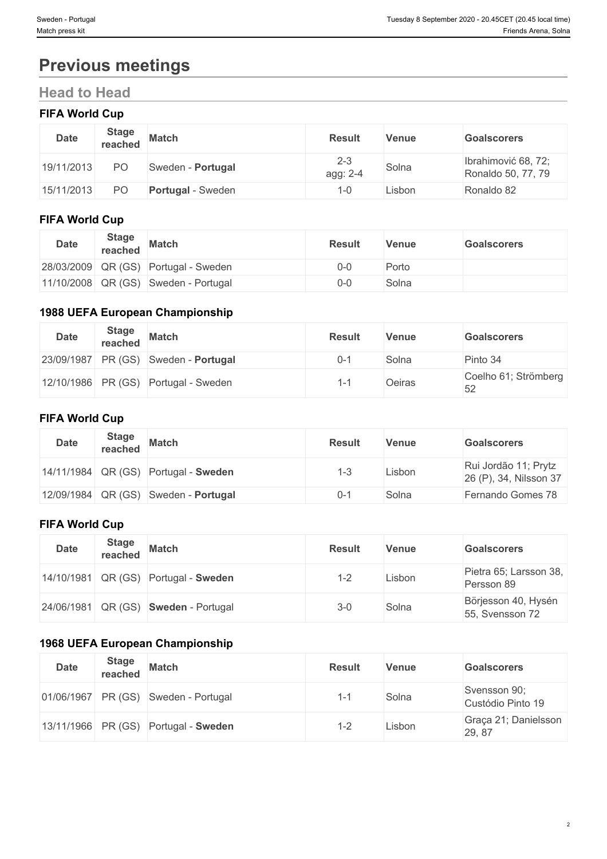# **Previous meetings**

## **Head to Head**

# **FIFA World Cup**

| <b>Date</b> | <b>Stage</b><br>reached | <b>Match</b>             | <b>Result</b>       | <b>Venue</b> | <b>Goalscorers</b>                        |
|-------------|-------------------------|--------------------------|---------------------|--------------|-------------------------------------------|
| 19/11/2013  | PO                      | Sweden - Portugal        | $2 - 3$<br>agg: 2-4 | Solna        | Ibrahimović 68, 72;<br>Ronaldo 50, 77, 79 |
| 15/11/2013  | P <sub>O</sub>          | <b>Portugal - Sweden</b> | -0                  | Lisbon       | Ronaldo 82                                |

## **FIFA World Cup**

| <b>Date</b> | <b>Stage</b><br>reached | <b>Match</b>                         | <b>Result</b> | Venue | <b>Goalscorers</b> |
|-------------|-------------------------|--------------------------------------|---------------|-------|--------------------|
|             |                         | 28/03/2009 QR (GS) Portugal - Sweden | $0 - 0$       | Porto |                    |
|             |                         | 11/10/2008 QR (GS) Sweden - Portugal | 0-0           | Solna |                    |

### **1988 UEFA European Championship**

| <b>Date</b> | <b>Stage</b><br>reached | <b>Match</b>                         | <b>Result</b> | <b>Venue</b> | <b>Goalscorers</b>         |
|-------------|-------------------------|--------------------------------------|---------------|--------------|----------------------------|
|             |                         | 23/09/1987 PR (GS) Sweden - Portugal | $0 - 1$       | Solna        | Pinto 34                   |
|             |                         | 12/10/1986 PR (GS) Portugal - Sweden | ہ _،          | Oeiras       | Coelho 61; Strömberg<br>52 |

### **FIFA World Cup**

| <b>Date</b> | <b>Stage</b><br>reached | <b>Match</b>                           | <b>Result</b> | <b>Venue</b> | <b>Goalscorers</b>                             |
|-------------|-------------------------|----------------------------------------|---------------|--------------|------------------------------------------------|
|             |                         | 14/11/1984 QR (GS) Portugal - Sweden   | 1-3           | Lisbon       | Rui Jordão 11; Prytz<br>26 (P), 34, Nilsson 37 |
|             |                         | $12/09/1984$ QR (GS) Sweden - Portugal | $0 - 7$       | Solna        | Fernando Gomes 78                              |

#### **FIFA World Cup**

| <b>Date</b> | <b>Stage</b><br>reached | <b>Match</b>                         | <b>Result</b> | Venue  | <b>Goalscorers</b>                     |
|-------------|-------------------------|--------------------------------------|---------------|--------|----------------------------------------|
|             |                         | 14/10/1981 QR (GS) Portugal - Sweden | $1 - 2$       | Lisbon | Pietra 65; Larsson 38,<br>Persson 89   |
|             |                         | 24/06/1981 QR (GS) Sweden - Portugal | $3 - 0$       | Solna  | Börjesson 40, Hysén<br>55, Svensson 72 |

## **1968 UEFA European Championship**

| <b>Date</b> | <b>Stage</b><br>reached | <b>Match</b>                         | <b>Result</b> | <b>Venue</b> | <b>Goalscorers</b>                |
|-------------|-------------------------|--------------------------------------|---------------|--------------|-----------------------------------|
|             |                         | 01/06/1967 PR (GS) Sweden - Portugal | $1 - 1$       | Solna        | Svensson 90;<br>Custódio Pinto 19 |
|             |                         | 13/11/1966 PR (GS) Portugal - Sweden | 1-2           | Lisbon       | Graça 21; Danielsson<br>29, 87    |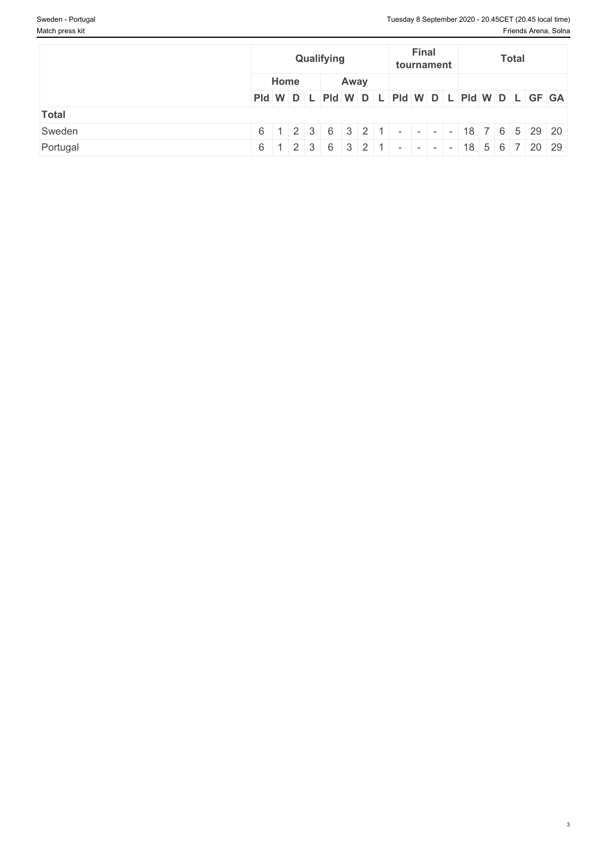|              | Qualifying |      | <b>Final</b><br><b>Total</b><br>tournament |                                                                            |  |
|--------------|------------|------|--------------------------------------------|----------------------------------------------------------------------------|--|
|              | Home       | Away |                                            |                                                                            |  |
|              |            |      |                                            | PId W D L PId W D L PId W D L PId W D L PId W D L GF GA                    |  |
| <b>Total</b> |            |      |                                            |                                                                            |  |
| Sweden       |            |      |                                            | $6$   1   2   3   6   3   2   1   -   -   -   -   18   7   6   5   29   20 |  |
| Portugal     |            |      |                                            | $6$   1   2   3   6   3   2   1   -   -   -   -   18   5   6   7   20   29 |  |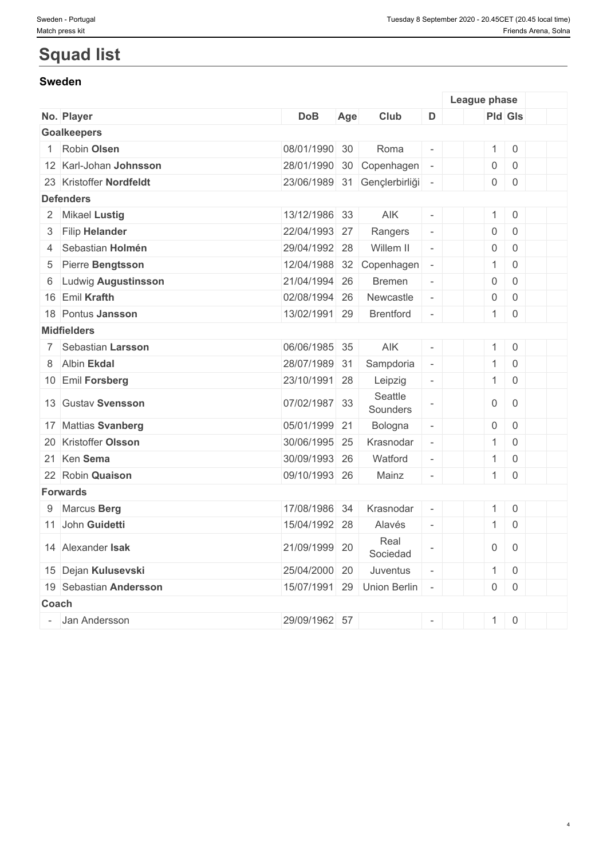# **Squad list**

### **Sweden**

|       |                         |               |     |                              |                          | League phase        |                     |  |
|-------|-------------------------|---------------|-----|------------------------------|--------------------------|---------------------|---------------------|--|
|       | No. Player              | <b>DoB</b>    | Age | Club                         | D                        | <b>Pld Gls</b>      |                     |  |
|       | <b>Goalkeepers</b>      |               |     |                              |                          |                     |                     |  |
|       | Robin Olsen             | 08/01/1990 30 |     | Roma                         |                          | $\mathbf{1}$        | $\mathsf{O}$        |  |
|       | 12 Karl-Johan Johnsson  | 28/01/1990 30 |     | Copenhagen                   |                          | $\mathsf{O}\xspace$ | $\mathbf 0$         |  |
|       | 23 Kristoffer Nordfeldt |               |     | 23/06/1989 31 Gençlerbirliği | $\bar{a}$                | $\overline{0}$      | $\mathbf 0$         |  |
|       | <b>Defenders</b>        |               |     |                              |                          |                     |                     |  |
|       | 2 Mikael Lustig         | 13/12/1986 33 |     | AIK                          | $\overline{a}$           | $\mathbf{1}$        | $\mathbf 0$         |  |
|       | 3 Filip Helander        | 22/04/1993 27 |     | Rangers                      | $\equiv$                 | $\boldsymbol{0}$    | $\mathbf 0$         |  |
|       | 4 Sebastian Holmén      | 29/04/1992 28 |     | Willem II                    | $\omega$                 | $\boldsymbol{0}$    | $\mathbf 0$         |  |
| 5     | Pierre Bengtsson        | 12/04/1988    | 32  | Copenhagen                   | $\overline{\phantom{a}}$ | $\mathbf{1}$        | $\mathbf 0$         |  |
| 6     | Ludwig Augustinsson     | 21/04/1994 26 |     | <b>Bremen</b>                | $\equiv$                 | $\mathbf 0$         | $\mathbf 0$         |  |
|       | 16 Emil Krafth          | 02/08/1994 26 |     | Newcastle                    | $\overline{\phantom{a}}$ | $\mathbf 0$         | $\mathbf 0$         |  |
|       | 18 Pontus Jansson       | 13/02/1991 29 |     | <b>Brentford</b>             | $\overline{\phantom{a}}$ | $\mathbf{1}$        | $\mathbf 0$         |  |
|       | <b>Midfielders</b>      |               |     |                              |                          |                     |                     |  |
|       | 7 Sebastian Larsson     | 06/06/1985 35 |     | AIK                          | $\overline{\phantom{a}}$ | 1                   | $\mathbf 0$         |  |
|       | 8 Albin Ekdal           | 28/07/1989 31 |     | Sampdoria                    | $\overline{\phantom{a}}$ | $\mathbf{1}$        | $\mathbf 0$         |  |
|       | 10 Emil Forsberg        | 23/10/1991 28 |     | Leipzig                      | $\overline{\phantom{a}}$ | $\mathbf{1}$        | $\overline{0}$      |  |
|       | 13 Gustav Svensson      | 07/02/1987 33 |     | Seattle<br>Sounders          |                          | $\mathbf 0$         | $\overline{0}$      |  |
|       | 17 Mattias Svanberg     | 05/01/1999 21 |     | Bologna                      | $\overline{\phantom{a}}$ | $\mathsf{O}\xspace$ | $\mathbf 0$         |  |
|       | 20 Kristoffer Olsson    | 30/06/1995 25 |     | Krasnodar                    | $\overline{\phantom{a}}$ | $\mathbf{1}$        | $\mathsf{O}\xspace$ |  |
|       | 21 Ken Sema             | 30/09/1993 26 |     | Watford                      | $\overline{\phantom{a}}$ | $\mathbf{1}$        | $\mathbf 0$         |  |
|       | 22 Robin Quaison        | 09/10/1993 26 |     | Mainz                        |                          | 1                   | $\mathbf 0$         |  |
|       | <b>Forwards</b>         |               |     |                              |                          |                     |                     |  |
|       | 9 Marcus Berg           | 17/08/1986 34 |     | Krasnodar                    | $\bar{a}$                | $\mathbf{1}$        | $\mathsf{O}$        |  |
|       | 11 John Guidetti        | 15/04/1992 28 |     | Alavés                       | $\overline{\phantom{a}}$ | 1                   | $\mathbf 0$         |  |
|       | 14 Alexander Isak       | 21/09/1999 20 |     | Real<br>Sociedad             |                          | $\mathsf{O}\xspace$ | $\mathbf 0$         |  |
|       | 15 Dejan Kulusevski     | 25/04/2000 20 |     | Juventus                     | $\overline{\phantom{a}}$ | $\mathbf{1}$        | $\overline{0}$      |  |
|       | 19 Sebastian Andersson  | 15/07/1991 29 |     | <b>Union Berlin</b>          | $\sim$                   | $\overline{0}$      | $\mathbf 0$         |  |
| Coach |                         |               |     |                              |                          |                     |                     |  |
|       | Jan Andersson           | 29/09/1962 57 |     |                              | $\sim$                   | $\mathbf{1}$        | $\mathsf{O}\xspace$ |  |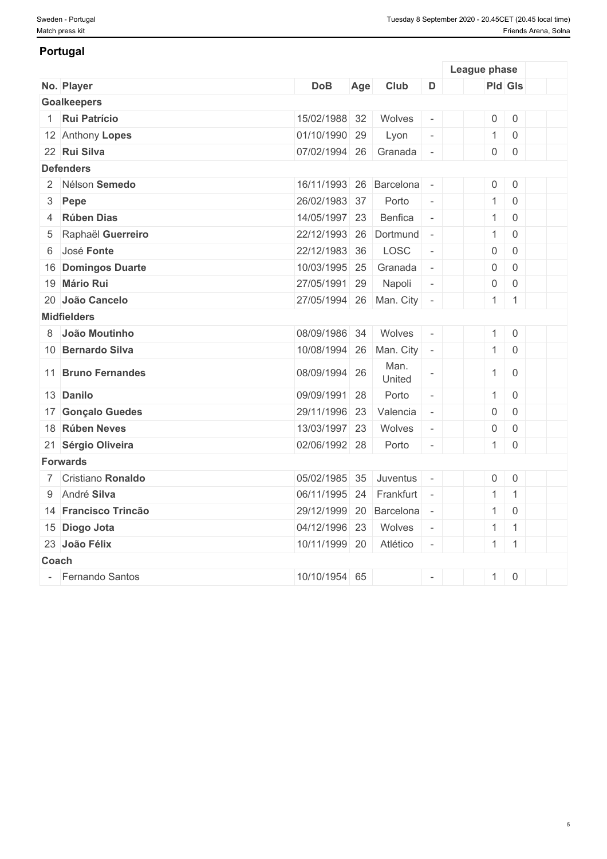### **Portugal**

|       |                      |                         |     |                |                          | League phase        |                     |  |
|-------|----------------------|-------------------------|-----|----------------|--------------------------|---------------------|---------------------|--|
|       | No. Player           | <b>DoB</b>              | Age | Club           | D                        | Pld Gls             |                     |  |
|       | <b>Goalkeepers</b>   |                         |     |                |                          |                     |                     |  |
|       | 1 Rui Patrício       | 15/02/1988 32           |     | Wolves         | $\sim$                   | $\mathsf{O}\xspace$ | $\mathbf 0$         |  |
|       | 12 Anthony Lopes     | 01/10/1990 29           |     | Lyon           | $\bar{\phantom{a}}$      | $\mathbf{1}$        | $\mathbf 0$         |  |
|       | 22 Rui Silva         | 07/02/1994 26           |     | Granada        | $\overline{\phantom{a}}$ | $\mathsf{O}$        | $\mathbf 0$         |  |
|       | <b>Defenders</b>     |                         |     |                |                          |                     |                     |  |
|       | 2 Nélson Semedo      | 16/11/1993 26 Barcelona |     |                | $\overline{\phantom{a}}$ | $\mathbf 0$         | $\overline{0}$      |  |
|       | 3 Pepe               | 26/02/1983 37           |     | Porto          | $\sim$                   | $\mathbf{1}$        | $\overline{0}$      |  |
| 4     | <b>Rúben Dias</b>    | 14/05/1997 23           |     | Benfica        | $\equiv$                 | $\mathbf{1}$        | $\mathbf 0$         |  |
| 5     | Raphaël Guerreiro    | 22/12/1993 26           |     | Dortmund       | $\overline{\phantom{a}}$ | $\mathbf{1}$        | $\overline{0}$      |  |
|       | 6 José Fonte         | 22/12/1983 36           |     | LOSC           | $\overline{\phantom{a}}$ | $\boldsymbol{0}$    | $\mathbf 0$         |  |
|       | 16 Domingos Duarte   | 10/03/1995 25           |     | Granada        | $\overline{\phantom{a}}$ | $\boldsymbol{0}$    | $\overline{0}$      |  |
|       | 19 Mário Rui         | 27/05/1991 29           |     | Napoli         | $\overline{\phantom{a}}$ | $\mathsf{O}\xspace$ | $\overline{0}$      |  |
|       | 20 João Cancelo      | 27/05/1994 26           |     | Man. City      | $\overline{\phantom{a}}$ | $\mathbf{1}$        | $\overline{1}$      |  |
|       | <b>Midfielders</b>   |                         |     |                |                          |                     |                     |  |
|       | 8 João Moutinho      | 08/09/1986 34           |     | Wolves         | $\overline{\phantom{a}}$ | 1                   | $\mathsf{O}\xspace$ |  |
|       | 10 Bernardo Silva    | 10/08/1994 26           |     | Man. City      |                          | $\mathbf{1}$        | $\mathbf 0$         |  |
|       | 11 Bruno Fernandes   | 08/09/1994 26           |     | Man.<br>United |                          | $\mathbf{1}$        | $\overline{0}$      |  |
|       | 13 Danilo            | 09/09/1991 28           |     | Porto          | $\equiv$                 | $\mathbf{1}$        | $\,0\,$             |  |
|       | 17 Gonçalo Guedes    | 29/11/1996 23           |     | Valencia       | $\overline{\phantom{a}}$ | $\mathsf{O}\xspace$ | $\mathbf 0$         |  |
|       | 18 Rúben Neves       | 13/03/1997 23           |     | Wolves         | $\overline{\phantom{a}}$ | $\mathbf 0$         | $\overline{0}$      |  |
|       | 21 Sérgio Oliveira   | 02/06/1992 28           |     | Porto          |                          | $\mathbf{1}$        | $\overline{0}$      |  |
|       | <b>Forwards</b>      |                         |     |                |                          |                     |                     |  |
|       | 7 Cristiano Ronaldo  | 05/02/1985 35           |     | Juventus       | $\overline{\phantom{a}}$ | $\overline{0}$      | $\mathbf 0$         |  |
|       | 9 André Silva        | 06/11/1995 24           |     | Frankfurt      |                          | $\mathbf{1}$        | $\overline{1}$      |  |
|       | 14 Francisco Trincão | 29/12/1999              | 20  | Barcelona      |                          | $\mathbf{1}$        | $\,0\,$             |  |
|       | 15 Diogo Jota        | 04/12/1996 23           |     | Wolves         | $\equiv$                 | $\mathbf{1}$        | $\overline{1}$      |  |
|       | 23 João Félix        | 10/11/1999 20           |     | Atlético       | $\overline{\phantom{a}}$ | $1 \mid 1$          |                     |  |
| Coach |                      |                         |     |                |                          |                     |                     |  |
|       | - Fernando Santos    | 10/10/1954 65           |     |                | $\overline{\phantom{a}}$ | 1                   | $\mathsf{O}\xspace$ |  |
|       |                      |                         |     |                |                          |                     |                     |  |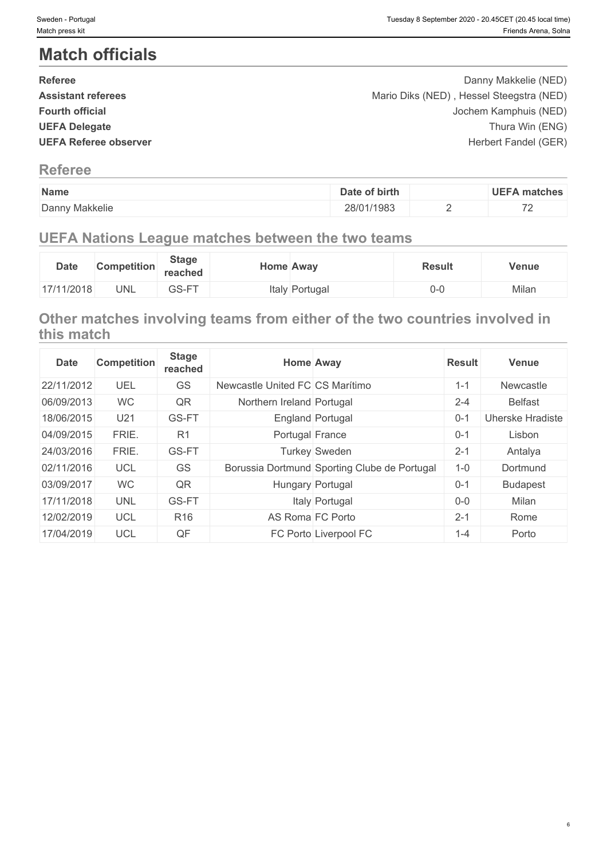# **Match officials**

| <b>Referee</b>               | Danny Makkelie (NED)                     |  |
|------------------------------|------------------------------------------|--|
| <b>Assistant referees</b>    | Mario Diks (NED), Hessel Steegstra (NED) |  |
| <b>Fourth official</b>       | Jochem Kamphuis (NED)                    |  |
| <b>UEFA Delegate</b>         | Thura Win (ENG)                          |  |
| <b>UEFA Referee observer</b> | Herbert Fandel (GER)                     |  |
|                              |                                          |  |

## **Referee**

| Name           | Date of birth | UEE7<br>matches          |
|----------------|---------------|--------------------------|
| Danny Makkelie | 28/01/1983    | $\overline{\phantom{a}}$ |

## **UEFA Nations League matches between the two teams**

| <b>Date</b> | <b>Competition</b> | <b>Stage</b><br>reached | <b>Home Away</b> |          | Result | <b>Venue</b> |
|-------------|--------------------|-------------------------|------------------|----------|--------|--------------|
| 17/11/2018  | UNL                | GS-FT                   | Italy            | Portugal | ∪-∪    | Milan        |

## **Other matches involving teams from either of the two countries involved in this match**

| <b>Date</b> | <b>Competition</b> | <b>Stage</b><br>reached | <b>Home Away</b>                |                                              | <b>Result</b> | Venue            |
|-------------|--------------------|-------------------------|---------------------------------|----------------------------------------------|---------------|------------------|
| 22/11/2012  | UEL                | GS                      | Newcastle United FC CS Marítimo |                                              | $1 - 1$       | Newcastle        |
| 06/09/2013  | <b>WC</b>          | QR                      | Northern Ireland Portugal       |                                              | $2 - 4$       | <b>Belfast</b>   |
| 18/06/2015  | U21                | GS-FT                   |                                 | England Portugal                             | $0 - 1$       | Uherske Hradiste |
| 04/09/2015  | FRIE.              | R <sub>1</sub>          | Portugal France                 |                                              | $0 - 1$       | Lisbon           |
| 24/03/2016  | FRIE.              | GS-FT                   |                                 | <b>Turkey Sweden</b>                         | $2 - 1$       | Antalya          |
| 02/11/2016  | <b>UCL</b>         | GS                      |                                 | Borussia Dortmund Sporting Clube de Portugal | $1 - 0$       | Dortmund         |
| 03/09/2017  | <b>WC</b>          | QR                      |                                 | Hungary Portugal                             | $0 - 1$       | <b>Budapest</b>  |
| 17/11/2018  | <b>UNL</b>         | GS-FT                   |                                 | Italy Portugal                               | $0-0$         | Milan            |
| 12/02/2019  | UCL                | R <sub>16</sub>         | AS Roma FC Porto                |                                              | $2 - 1$       | Rome             |
| 17/04/2019  | <b>UCL</b>         | QF                      |                                 | FC Porto Liverpool FC                        | $1 - 4$       | Porto            |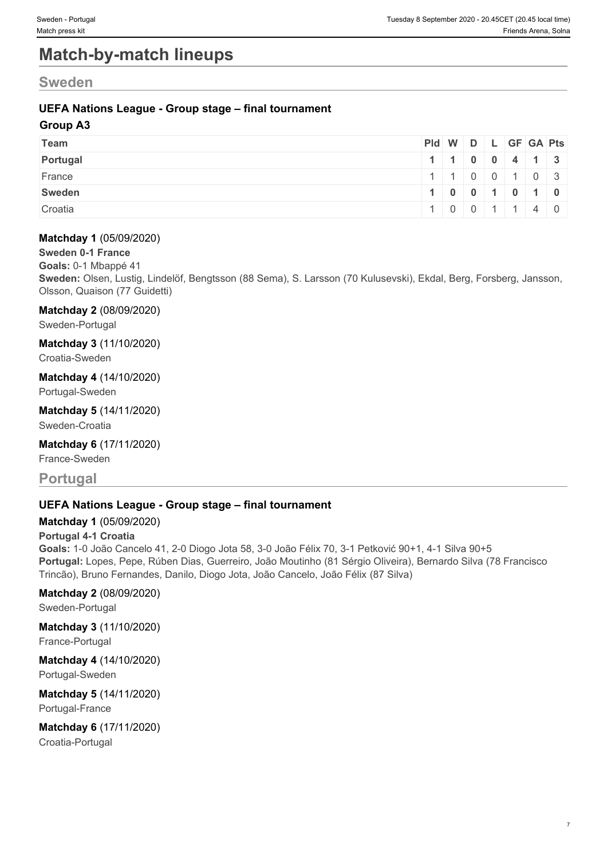# **Match-by-match lineups**

## **Sweden**

### **UEFA Nations League - Group stage – final tournament**

#### **Group A3**

| Team     | Pid W D L GF GA Pts                           |  |  |  |
|----------|-----------------------------------------------|--|--|--|
| Portugal | $1 \mid 1 \mid 0 \mid 0 \mid 4 \mid 1 \mid 3$ |  |  |  |
| France   | 1   1   0   0   1   0   3                     |  |  |  |
| Sweden   | 1 0 0 1 0 1 0 1 0                             |  |  |  |
| Croatia  | 0 0 1 1 4 0                                   |  |  |  |

#### **Matchday 1** (05/09/2020)

#### **Sweden 0-1 France**

**Goals:** 0-1 Mbappé 41

**Sweden:** Olsen, Lustig, Lindelöf, Bengtsson (88 Sema), S. Larsson (70 Kulusevski), Ekdal, Berg, Forsberg, Jansson, Olsson, Quaison (77 Guidetti)

#### **Matchday 2** (08/09/2020)

Sweden-Portugal

## **Matchday 3** (11/10/2020)

Croatia-Sweden

### **Matchday 4** (14/10/2020)

Portugal-Sweden

#### **Matchday 5** (14/11/2020) Sweden-Croatia

**Matchday 6** (17/11/2020)

## France-Sweden

## **Portugal**

### **UEFA Nations League - Group stage – final tournament**

#### **Matchday 1** (05/09/2020)

#### **Portugal 4-1 Croatia**

**Goals:** 1-0 João Cancelo 41, 2-0 Diogo Jota 58, 3-0 João Félix 70, 3-1 Petković 90+1, 4-1 Silva 90+5 **Portugal:** Lopes, Pepe, Rúben Dias, Guerreiro, João Moutinho (81 Sérgio Oliveira), Bernardo Silva (78 Francisco Trincão), Bruno Fernandes, Danilo, Diogo Jota, João Cancelo, João Félix (87 Silva)

#### **Matchday 2** (08/09/2020)

Sweden-Portugal

## **Matchday 3** (11/10/2020)

France-Portugal

#### **Matchday 4** (14/10/2020) Portugal-Sweden

#### **Matchday 5** (14/11/2020) Portugal-France

# **Matchday 6** (17/11/2020)

Croatia-Portugal